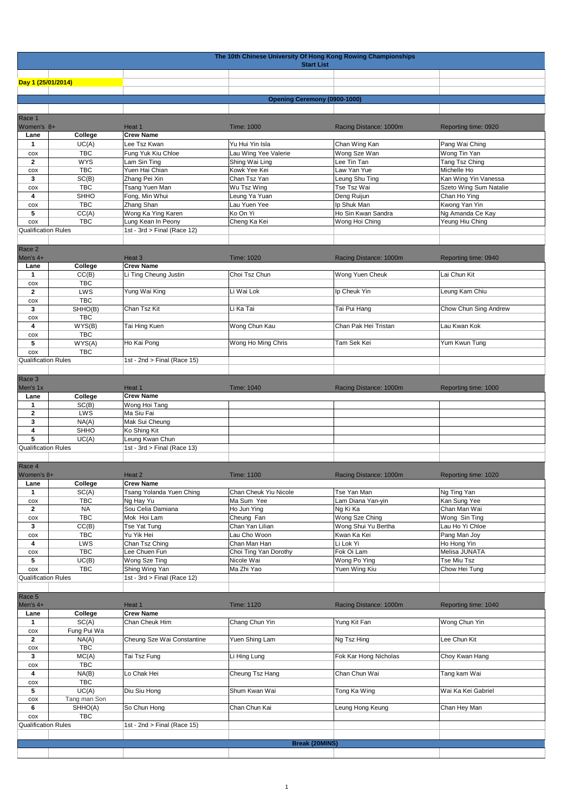|                                   | The 10th Chinese University Of Hong Kong Rowing Championships<br><b>Start List</b> |                                               |                                 |                                    |                                                |  |  |  |
|-----------------------------------|------------------------------------------------------------------------------------|-----------------------------------------------|---------------------------------|------------------------------------|------------------------------------------------|--|--|--|
|                                   |                                                                                    |                                               |                                 |                                    |                                                |  |  |  |
| Day 1 (25/01/2014)                |                                                                                    |                                               |                                 |                                    |                                                |  |  |  |
|                                   |                                                                                    |                                               |                                 | Opening Ceremony (0900-1000)       |                                                |  |  |  |
|                                   |                                                                                    |                                               |                                 |                                    |                                                |  |  |  |
| Race 1                            |                                                                                    |                                               |                                 |                                    |                                                |  |  |  |
| Women's 8+                        |                                                                                    | Heat 1<br><b>Crew Name</b>                    | <b>Time: 1000</b>               | Racing Distance: 1000m             | Reporting time: 0920                           |  |  |  |
| Lane<br>1                         | College<br>UC(A)                                                                   | Lee Tsz Kwan                                  | Yu Hui Yin Isla                 | Chan Wing Kan                      | Pang Wai Ching                                 |  |  |  |
| COX                               | <b>TBC</b>                                                                         | Fung Yuk Kiu Chloe                            | Lau Wing Yee Valerie            | Wong Sze Wan                       | Wong Tin Yan                                   |  |  |  |
| $\mathbf{2}$                      | <b>WYS</b>                                                                         | Lam Sin Ting                                  | Shing Wai Ling                  | Lee Tin Tan                        | Tang Tsz Ching                                 |  |  |  |
| COX                               | <b>TBC</b>                                                                         | Yuen Hai Chian                                | Kowk Yee Kei                    | Law Yan Yue                        | Michelle Ho                                    |  |  |  |
| 3                                 | SC(B)<br><b>TBC</b>                                                                | Zhang Pei Xin                                 | Chan Tsz Yan                    | Leung Shu Ting                     | Kan Wing Yin Vanessa<br>Szeto Wing Sum Natalie |  |  |  |
| COX<br>4                          | <b>SHHO</b>                                                                        | Tsang Yuen Man<br>Fong, Min Whui              | Wu Tsz Wing<br>Leung Ya Yuan    | Tse Tsz Wai<br>Deng Ruijun         | Chan Ho Ying                                   |  |  |  |
| COX                               | <b>TBC</b>                                                                         | Zhang Shan                                    | Lau Yuen Yee                    | Ip Shuk Man                        | Kwong Yan Yin                                  |  |  |  |
| 5                                 | CC(A)                                                                              | Wong Ka Ying Karen                            | Ko On Yi                        | Ho Sin Kwan Sandra                 | Ng Amanda Ce Kay                               |  |  |  |
| COX                               | <b>TBC</b>                                                                         | Lung Kean In Peony                            | Cheng Ka Kei                    | Wong Hoi Ching                     | Yeung Hiu Ching                                |  |  |  |
| <b>Qualification Rules</b>        |                                                                                    | 1st - 3rd > Final (Race 12)                   |                                 |                                    |                                                |  |  |  |
| Race 2                            |                                                                                    |                                               |                                 |                                    |                                                |  |  |  |
| Men's 4+                          |                                                                                    | Heat 3                                        | Time: 1020                      | Racing Distance: 1000m             | Reporting time: 0940                           |  |  |  |
| Lane                              | College                                                                            | <b>Crew Name</b>                              |                                 |                                    |                                                |  |  |  |
| 1                                 | CC(B)                                                                              | Li Ting Cheung Justin                         | Choi Tsz Chun                   | Wong Yuen Cheuk                    | Lai Chun Kit                                   |  |  |  |
| COX<br>$\mathbf{2}$               | <b>TBC</b><br>LWS                                                                  | Yung Wai King                                 | Li Wai Lok                      | Ip Cheuk Yin                       | Leung Kam Chiu                                 |  |  |  |
| COX                               | <b>TBC</b>                                                                         |                                               |                                 |                                    |                                                |  |  |  |
| 3                                 | SHHO(B)                                                                            | Chan Tsz Kit                                  | Li Ka Tai                       | Tai Pui Hang                       | Chow Chun Sing Andrew                          |  |  |  |
| COX                               | TBC                                                                                |                                               |                                 |                                    |                                                |  |  |  |
| 4                                 | WYS(B)                                                                             | Tai Hing Kuen                                 | Wong Chun Kau                   | Chan Pak Hei Tristan               | Lau Kwan Kok                                   |  |  |  |
| COX<br>5                          | <b>TBC</b><br>WYS(A)                                                               | Ho Kai Pong                                   | Wong Ho Ming Chris              | Tam Sek Kei                        | Yum Kwun Tung                                  |  |  |  |
| cox                               | <b>TBC</b>                                                                         |                                               |                                 |                                    |                                                |  |  |  |
| <b>Qualification Rules</b>        |                                                                                    | 1st - 2nd > Final (Race 15)                   |                                 |                                    |                                                |  |  |  |
|                                   |                                                                                    |                                               |                                 |                                    |                                                |  |  |  |
| Race 3                            |                                                                                    |                                               |                                 |                                    |                                                |  |  |  |
| Men's 1x<br>Lane                  | College                                                                            | Heat 1<br><b>Crew Name</b>                    | Time: 1040                      | Racing Distance: 1000m             | Reporting time: 1000                           |  |  |  |
| 1                                 | SC(B)                                                                              | Wong Hoi Tang                                 |                                 |                                    |                                                |  |  |  |
| $\mathbf{2}$                      | LWS                                                                                | Ma Siu Fai                                    |                                 |                                    |                                                |  |  |  |
| 3                                 | NA(A)                                                                              | Mak Sui Cheung                                |                                 |                                    |                                                |  |  |  |
| 4<br>5                            | SHHO<br>UC(A)                                                                      | Ko Shing Kit<br>Leung Kwan Chun               |                                 |                                    |                                                |  |  |  |
| <b>Qualification Rules</b>        |                                                                                    | 1st - 3rd > Final (Race 13)                   |                                 |                                    |                                                |  |  |  |
|                                   |                                                                                    |                                               |                                 |                                    |                                                |  |  |  |
| Race 4                            |                                                                                    |                                               |                                 |                                    |                                                |  |  |  |
| Women's 8+                        |                                                                                    | Heat 2                                        | <b>Time: 1100</b>               | Racing Distance: 1000m             | Reporting time: 1020                           |  |  |  |
| Lane<br>$\mathbf{1}$              | College<br>SC(A)                                                                   | <b>Crew Name</b><br>Tsang Yolanda Yuen Ching  | Chan Cheuk Yiu Nicole           | Tse Yan Man                        | Ng Ting Yan                                    |  |  |  |
| COX                               | TBC                                                                                | Ng Hay Yu                                     | Ma Sum Yee                      | Lam Diana Yan-yin                  | Kan Sung Yee                                   |  |  |  |
| $\mathbf{2}$                      | <b>NA</b>                                                                          | Sou Celia Damiana                             | Ho Jun Ying                     | Ng Ki Ka                           | Chan Man Wai                                   |  |  |  |
| $\cos$                            | TBC                                                                                | Mok Hoi Lam                                   | Cheung Fan                      | Wong Sze Ching                     | Wong Sin Ting                                  |  |  |  |
| 3<br>COX                          | CC(B)<br><b>TBC</b>                                                                | Tse Yat Tung<br>Yu Yik Hei                    | Chan Yan Lilian<br>Lau Cho Woon | Wong Shui Yu Bertha<br>Kwan Ka Kei | Lau Ho Yi Chloe<br>Pang Man Joy                |  |  |  |
| 4                                 | LWS                                                                                | Chan Tsz Ching                                | Chan Man Han                    | Li Lok Yi                          | Ho Hong Yin                                    |  |  |  |
| COX                               | <b>TBC</b>                                                                         | Lee Chuen Fun                                 | Choi Ting Yan Dorothy           | Fok Oi Lam                         | Melisa JUNATA                                  |  |  |  |
| 5                                 | UC(B)                                                                              | Wong Sze Ting                                 | Nicole Wai                      | Wong Po Ying                       | Tse Miu Tsz                                    |  |  |  |
| COX<br><b>Qualification Rules</b> | TBC                                                                                | Shing Wing Yan<br>1st - 3rd > Final (Race 12) | Ma Zhi Yao                      | Yuen Wing Kiu                      | Chow Hei Tung                                  |  |  |  |
|                                   |                                                                                    |                                               |                                 |                                    |                                                |  |  |  |
| Race 5                            |                                                                                    |                                               |                                 |                                    |                                                |  |  |  |
| Men's 4+                          |                                                                                    | Heat 1                                        | <b>Time: 1120</b>               | Racing Distance: 1000m             | Reporting time: 1040                           |  |  |  |
| Lane                              | College                                                                            | <b>Crew Name</b>                              |                                 |                                    |                                                |  |  |  |
| 1<br>$\cos$                       | SC(A)<br>Fung Pui Wa                                                               | Chan Cheuk Him                                | Chang Chun Yin                  | Yung Kit Fan                       | Wong Chun Yin                                  |  |  |  |
| $\mathbf{2}$                      | NA(A)                                                                              | Cheung Sze Wai Constantine                    | Yuen Shing Lam                  | Ng Tsz Hing                        | Lee Chun Kit                                   |  |  |  |
| $\cos$                            | <b>TBC</b>                                                                         |                                               |                                 |                                    |                                                |  |  |  |
| 3                                 | MC(A)                                                                              | Tai Tsz Fung                                  | Li Hing Lung                    | Fok Kar Hong Nicholas              | Choy Kwan Hang                                 |  |  |  |
| $\cos$<br>4                       | <b>TBC</b><br>NA(B)                                                                | Lo Chak Hei                                   | Cheung Tsz Hang                 | Chan Chun Wai                      | Tang kam Wai                                   |  |  |  |
| COX                               | TBC                                                                                |                                               |                                 |                                    |                                                |  |  |  |
| 5                                 | UC(A)                                                                              | Diu Siu Hong                                  | Shum Kwan Wai                   | Tong Ka Wing                       | Wai Ka Kei Gabriel                             |  |  |  |
| $\cos$                            | Tang man Son                                                                       |                                               |                                 |                                    |                                                |  |  |  |
| 6                                 | SHHO(A)                                                                            | So Chun Hong                                  | Chan Chun Kai                   | Leung Hong Keung                   | Chan Hey Man                                   |  |  |  |
| cox<br><b>Qualification Rules</b> | <b>TBC</b>                                                                         | 1st - 2nd > Final (Race 15)                   |                                 |                                    |                                                |  |  |  |
|                                   |                                                                                    |                                               |                                 |                                    |                                                |  |  |  |
|                                   |                                                                                    |                                               |                                 | Break (20MINS)                     |                                                |  |  |  |
|                                   |                                                                                    |                                               |                                 |                                    |                                                |  |  |  |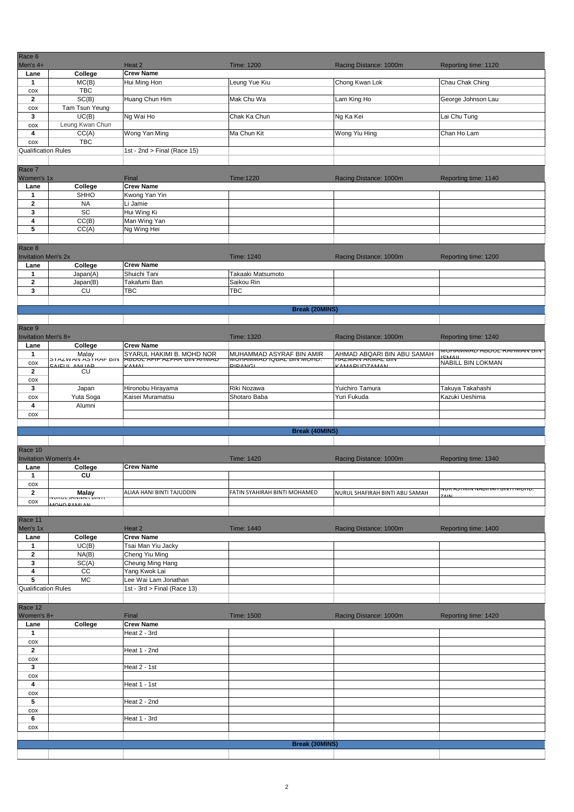| Race 6<br>Men's 4+                   |                                              | Heat 2                                                    | <b>Time: 1200</b>                                            | Racing Distance: 1000m                                 | Reporting time: 1120                           |
|--------------------------------------|----------------------------------------------|-----------------------------------------------------------|--------------------------------------------------------------|--------------------------------------------------------|------------------------------------------------|
| Lane                                 | College                                      | <b>Crew Name</b>                                          |                                                              |                                                        |                                                |
| $\mathbf{1}$                         | MC(B)                                        | Hui Ming Hon                                              | Leung Yue Kiu                                                | Chong Kwan Lok                                         | Chau Chak Ching                                |
| COX                                  | <b>TBC</b>                                   |                                                           |                                                              |                                                        |                                                |
| $\overline{2}$                       | SC(B)                                        | Huang Chun Him                                            | Mak Chu Wa                                                   | Lam King Ho                                            | George Johnson Lau                             |
| COX                                  | Tam Tsun Yeung                               |                                                           |                                                              |                                                        |                                                |
| 3<br>COX                             | UC(B)<br>Leung Kwan Chun                     | Ng Wai Ho                                                 | Chak Ka Chun                                                 | Ng Ka Kei                                              | Lai Chu Tung                                   |
| 4                                    | CC(A)                                        | Wong Yan Ming                                             | Ma Chun Kit                                                  | Wong Yiu Hing                                          | Chan Ho Lam                                    |
| cox                                  | <b>TBC</b>                                   |                                                           |                                                              |                                                        |                                                |
| <b>Qualification Rules</b>           |                                              | 1st - 2nd > Final (Race 15)                               |                                                              |                                                        |                                                |
|                                      |                                              |                                                           |                                                              |                                                        |                                                |
| Race 7                               |                                              |                                                           |                                                              |                                                        |                                                |
| Women's 1x                           | College                                      | Final<br><b>Crew Name</b>                                 | Time:1220                                                    | Racing Distance: 1000m                                 | Reporting time: 1140                           |
| Lane<br>$\mathbf{1}$                 | SHHO                                         | Kwong Yan Yin                                             |                                                              |                                                        |                                                |
| $\overline{2}$                       | <b>NA</b>                                    | Li Jamie                                                  |                                                              |                                                        |                                                |
| 3                                    | SC                                           | Hui Wing Ki                                               |                                                              |                                                        |                                                |
| 4                                    | CC(B)                                        | Man Wing Yan                                              |                                                              |                                                        |                                                |
| 5                                    | CC(A)                                        | Ng Wing Hei                                               |                                                              |                                                        |                                                |
|                                      |                                              |                                                           |                                                              |                                                        |                                                |
| Race 8<br><b>Invitation Men's 2x</b> |                                              |                                                           | Time: 1240                                                   | Racing Distance: 1000m                                 | Reporting time: 1200                           |
| Lane                                 | College                                      | <b>Crew Name</b>                                          |                                                              |                                                        |                                                |
| $\mathbf{1}$                         | Japan(A)                                     | Shuichi Tani                                              | Takaaki Matsumoto                                            |                                                        |                                                |
| $\overline{2}$                       | Japan(B)                                     | Takafumi Ban                                              | Saikou Rin                                                   |                                                        |                                                |
| 3                                    | CU                                           | <b>TBC</b>                                                | TBC                                                          |                                                        |                                                |
|                                      |                                              |                                                           |                                                              |                                                        |                                                |
|                                      |                                              |                                                           | <b>Break (20MINS)</b>                                        |                                                        |                                                |
|                                      |                                              |                                                           |                                                              |                                                        |                                                |
| Race 9<br><b>Invitation Men's 8+</b> |                                              |                                                           | <b>Time: 1320</b>                                            | Racing Distance: 1000m                                 | Reporting time: 1240                           |
| Lane                                 | College                                      | <b>Crew Name</b>                                          |                                                              |                                                        |                                                |
| $\mathbf{1}$                         | Malay                                        | SYARUL HAKIMI B. MOHD NOR                                 | MUHAMMAD ASYRAF BIN AMIR                                     | AHMAD ABQARI BIN ABU SAMAH                             | ווס אואוויווארו בטעסא שאוויווארוטויוו<br>CMAIL |
| COX                                  | <b>OTALWAIN AOTRAF DIIV</b><br>CAILLE ANLIAD | <b>ADDUL AFIF AZFAN DIN AHMAL</b><br>$\sqrt{\Lambda}$ MAI | <u>טרוטואו אווס אאסטו שאואוואורוטואו</u> .<br><b>DIDANCI</b> | <b>TAZIVIAIN ARTIVIAL DIIN</b><br><b>CAMADLIDZAMAN</b> | NABILL BIN LOKMAN                              |
| $\overline{2}$                       | <b>CU</b>                                    |                                                           |                                                              |                                                        |                                                |
| COX<br>3                             | Japan                                        | Hironobu Hirayama                                         | Riki Nozawa                                                  | Yuichiro Tamura                                        | Takuya Takahashi                               |
| COX                                  | Yuta Soga                                    | Kaisei Muramatsu                                          | Shotaro Baba                                                 | Yuri Fukuda                                            | Kazuki Ueshima                                 |
| 4                                    | Alumni                                       |                                                           |                                                              |                                                        |                                                |
| COX                                  |                                              |                                                           |                                                              |                                                        |                                                |
|                                      |                                              |                                                           |                                                              |                                                        |                                                |
|                                      |                                              |                                                           | <b>Break (40MINS)</b>                                        |                                                        |                                                |
| Race 10                              |                                              |                                                           |                                                              |                                                        |                                                |
|                                      | Invitation Women's 4+                        |                                                           | <b>Time: 1420</b>                                            | Racing Distance: 1000m                                 | Reporting time: 1340                           |
| Lane                                 | College                                      | <b>Crew Name</b>                                          |                                                              |                                                        |                                                |
| $\mathbf{1}$                         | CU                                           |                                                           |                                                              |                                                        |                                                |
| $\cos$                               |                                              |                                                           |                                                              |                                                        | עמיטויו דו צווס מאמומאיו צוואוז נא אטצ         |
| $\overline{2}$                       | <b>Malay</b><br><b>MONOL JANNAH BINT</b>     | ALIAA HANI BINTI TAJUDDIN                                 | FATIN SYAHIRAH BINTI MOHAMED                                 | NURUL SHAFIRAH BINTI ABU SAMAH                         |                                                |
| $\cos$                               | 1010000111                                   |                                                           |                                                              |                                                        |                                                |
| Race 11                              |                                              |                                                           |                                                              |                                                        |                                                |
| Men's 1x                             |                                              | Heat 2                                                    | Time: 1440                                                   | Racing Distance: 1000m                                 | Reporting time: 1400                           |
| Lane                                 | College                                      | <b>Crew Name</b>                                          |                                                              |                                                        |                                                |
| $\mathbf{1}$                         | UC(B)                                        | Tsai Man Yiu Jacky                                        |                                                              |                                                        |                                                |
| $\mathbf{2}$<br>3                    | NA(B)<br>SC(A)                               | Cheng Yiu Ming<br>Cheung Ming Hang                        |                                                              |                                                        |                                                |
| $\pmb{4}$                            | $\overline{cc}$                              | Yang Kwok Lai                                             |                                                              |                                                        |                                                |
| ${\bf 5}$                            | <b>MC</b>                                    | Lee Wai Lam Jonathan                                      |                                                              |                                                        |                                                |
| Qualification Rules                  |                                              | 1st - $3rd >$ Final (Race 13)                             |                                                              |                                                        |                                                |
|                                      |                                              |                                                           |                                                              |                                                        |                                                |
| Race 12                              |                                              |                                                           |                                                              |                                                        |                                                |
| Women's 8+<br>Lane                   | College                                      | Final<br><b>Crew Name</b>                                 | Time: 1500                                                   | Racing Distance: 1000m                                 | Reporting time: 1420                           |
| $\mathbf{1}$                         |                                              | Heat 2 - 3rd                                              |                                                              |                                                        |                                                |
| COX                                  |                                              |                                                           |                                                              |                                                        |                                                |
| $\mathbf{2}$                         |                                              | Heat 1 - 2nd                                              |                                                              |                                                        |                                                |
| COX                                  |                                              |                                                           |                                                              |                                                        |                                                |
| $\mathbf{3}$                         |                                              | Heat 2 - 1st                                              |                                                              |                                                        |                                                |
| COX<br>4                             |                                              | Heat 1 - 1st                                              |                                                              |                                                        |                                                |
| COX                                  |                                              |                                                           |                                                              |                                                        |                                                |
| 5                                    |                                              | Heat 2 - 2nd                                              |                                                              |                                                        |                                                |
| COX                                  |                                              |                                                           |                                                              |                                                        |                                                |
| 6                                    |                                              | Heat 1 - 3rd                                              |                                                              |                                                        |                                                |
| COX                                  |                                              |                                                           |                                                              |                                                        |                                                |
|                                      |                                              |                                                           | <b>Break (30MINS)</b>                                        |                                                        |                                                |
|                                      |                                              |                                                           |                                                              |                                                        |                                                |